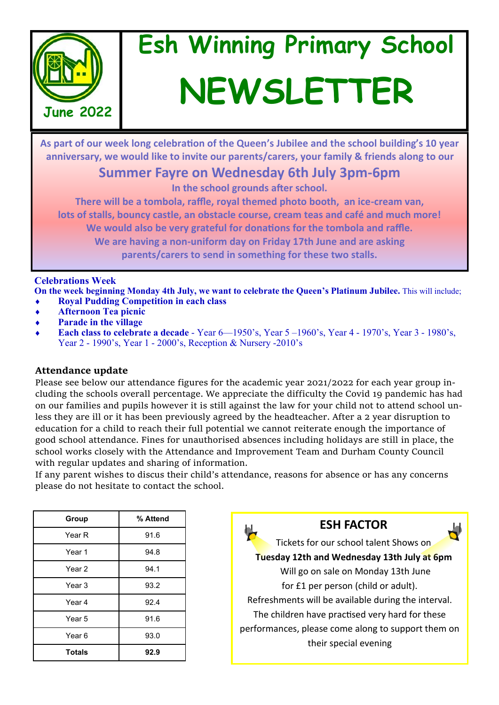

# **Esh Winning Primary School NEWSLETTER**

**As part of our week long celebration of the Queen's Jubilee and the school building's 10 year anniversary, we would like to invite our parents/carers, your family & friends along to our** 

# **Summer Fayre on Wednesday 6th July 3pm-6pm**

**In the school grounds after school.** 

**There will be a tombola, raffle, royal themed photo booth, an ice-cream van, lots of stalls, bouncy castle, an obstacle course, cream teas and café and much more! We would also be very grateful for donations for the tombola and raffle. We are having a non-uniform day on Friday 17th June and are asking parents/carers to send in something for these two stalls.** 

### **Celebrations Week**

**On the week beginning Monday 4th July, we want to celebrate the Queen's Platinum Jubilee.** This will include; **Royal Pudding Competition in each class**

- **Afternoon Tea picnic**
- **Parade in the village**
- **Each class to celebrate a decade**  Year 6—1950's, Year 5 –1960's, Year 4 1970's, Year 3 1980's, Year 2 - 1990's, Year 1 - 2000's, Reception & Nursery -2010's

#### **Attendance update**

Please see below our attendance figures for the academic year 2021/2022 for each year group including the schools overall percentage. We appreciate the difficulty the Covid 19 pandemic has had on our families and pupils however it is still against the law for your child not to attend school unless they are ill or it has been previously agreed by the headteacher. After a 2 year disruption to education for a child to reach their full potential we cannot reiterate enough the importance of good school attendance. Fines for unauthorised absences including holidays are still in place, the school works closely with the Attendance and Improvement Team and Durham County Council with regular updates and sharing of information.

If any parent wishes to discus their child's attendance, reasons for absence or has any concerns please do not hesitate to contact the school.

| Group         | % Attend |
|---------------|----------|
| Year R        | 91.6     |
| Year 1        | 94.8     |
| Year 2        | 94.1     |
| Year 3        | 93.2     |
| Year 4        | 92.4     |
| Year 5        | 91.6     |
| Year 6        | 93.0     |
| <b>Totals</b> | 92.9     |